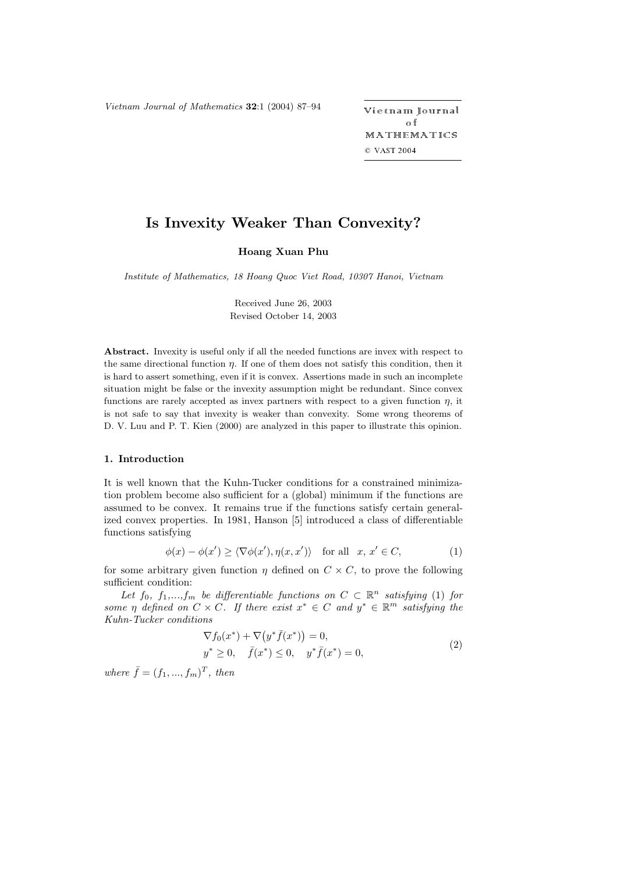*Vietnam Journal of Mathematics* **32**:1 (2004) 87-94

ietnam Journal o f MATHEMATICS © VAST 2004

# **Is Invexity Weaker Than Convexity?**

**Hoang Xuan Phu**

*Institute of Mathematics, 18 Hoang Quoc Viet Road, 10307 Hanoi, Vietnam*

Received June 26, 2003 Revised October 14, 2003

**Abstract.** Invexity is useful only if all the needed functions are invex with respect to the same directional function η. If one of them does not satisfy this condition, then it is hard to assert something, even if it is convex. Assertions made in such an incomplete situation might be false or the invexity assumption might be redundant. Since convex functions are rarely accepted as invex partners with respect to a given function  $\eta$ , it is not safe to say that invexity is weaker than convexity. Some wrong theorems of D. V. Luu and P. T. Kien (2000) are analyzed in this paper to illustrate this opinion.

## **1. Introduction**

It is well known that the Kuhn-Tucker conditions for a constrained minimization problem become also sufficient for a (global) minimum if the functions are assumed to be convex. It remains true if the functions satisfy certain generalized convex properties. In 1981, Hanson [5] introduced a class of differentiable functions satisfying

$$
\phi(x) - \phi(x') \ge \langle \nabla \phi(x'), \eta(x, x') \rangle \quad \text{for all} \quad x, \, x' \in C,\tag{1}
$$

for some arbitrary given function  $\eta$  defined on  $C \times C$ , to prove the following sufficient condition:

*Let*  $f_0$ ,  $f_1$ ,..., $f_m$  *be differentiable functions on*  $C \subset \mathbb{R}^n$  *satisfying* (1) *for some*  $\eta$  *defined on*  $C \times C$ *. If there exist*  $x^* \in C$  *and*  $y^* \in \mathbb{R}^m$  *satisfying the Kuhn-Tucker conditions*

$$
\nabla f_0(x^*) + \nabla (y^* \bar{f}(x^*)) = 0,y^* \ge 0, \quad \bar{f}(x^*) \le 0, \quad y^* \bar{f}(x^*) = 0,
$$
\n(2)

*where*  $\bar{f} = (f_1, ..., f_m)^T$ , then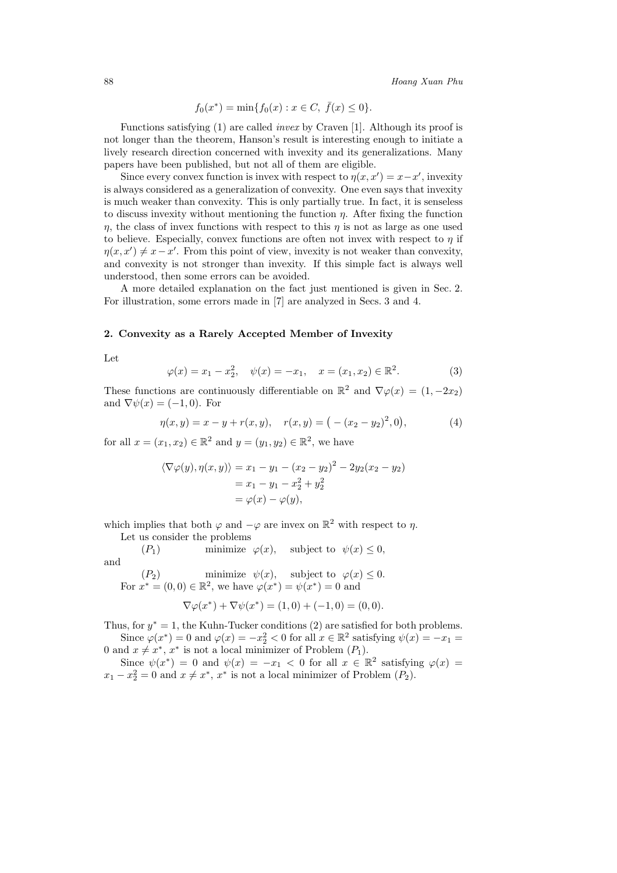$$
f_0(x^*) = \min\{f_0(x) : x \in C, \ \bar{f}(x) \le 0\}.
$$

Functions satisfying (1) are called *invex* by Craven [1]. Although its proof is not longer than the theorem, Hanson's result is interesting enough to initiate a lively research direction concerned with invexity and its generalizations. Many papers have been published, but not all of them are eligible.

Since every convex function is invex with respect to  $\eta(x, x') = x - x'$ , invexity<br>wave considered as a generalization of convexity. One even says that invexity is always considered as a generalization of convexity. One even says that invexity is much weaker than convexity. This is only partially true. In fact, it is senseless to discuss invexity without mentioning the function  $\eta$ . After fixing the function  $\eta$ , the class of invex functions with respect to this  $\eta$  is not as large as one used to believe. Especially, convex functions are often not invex with respect to  $\eta$  if  $\eta(x, x') \neq x - x'$ . From this point of view, invexity is not weaker than convexity, and convexity is not stronger than invexity. If this simple fact is always well and convexity is not stronger than invexity. If this simple fact is always well understood, then some errors can be avoided.

A more detailed explanation on the fact just mentioned is given in Sec. 2. For illustration, some errors made in [7] are analyzed in Secs. 3 and 4.

### **2. Convexity as a Rarely Accepted Member of Invexity**

Let

$$
\varphi(x) = x_1 - x_2^2, \quad \psi(x) = -x_1, \quad x = (x_1, x_2) \in \mathbb{R}^2.
$$
\n(3)

These functions are continuously differentiable on  $\mathbb{R}^2$  and  $\nabla \varphi(x) = (1, -2x_2)$ and  $\nabla \psi(x) = (-1, 0)$ . For

$$
\eta(x, y) = x - y + r(x, y), \quad r(x, y) = (-(x_2 - y_2)^2, 0), \tag{4}
$$

for all  $x = (x_1, x_2) \in \mathbb{R}^2$  and  $y = (y_1, y_2) \in \mathbb{R}^2$ , we have

$$
\langle \nabla \varphi(y), \eta(x, y) \rangle = x_1 - y_1 - (x_2 - y_2)^2 - 2y_2(x_2 - y_2)
$$
  
=  $x_1 - y_1 - x_2^2 + y_2^2$   
=  $\varphi(x) - \varphi(y)$ ,

which implies that both  $\varphi$  and  $-\varphi$  are invex on  $\mathbb{R}^2$  with respect to  $\eta$ .

Let us consider the problems

(P<sub>1</sub>) minimize  $\varphi(x)$ , subject to  $\psi(x) \leq 0$ , and  $(P_2)$  minimize  $\psi(x)$ , subject to  $\varphi(x) \leq 0$ .

For 
$$
x^* = (0,0) \in \mathbb{R}^2
$$
, we have  $\varphi(x^*) = \psi(x^*) = 0$  and  
\n
$$
\nabla \varphi(x^*) + \nabla \psi(x^*) = (1,0) + (-1,0) = (0,0).
$$

Thus, for 
$$
y^* = 1
$$
, the Kuhn-Tucker conditions (2) are satisfied for both problems.  
Since  $\varphi(x^*) = 0$  and  $\varphi(x) = -x^2 < 0$  for all  $x \in \mathbb{R}^2$  satisfying  $\psi(x) = -x$ .

Since  $\varphi(x^*) = 0$  and  $\varphi(x) = -x_2^2 < 0$  for all  $x \in \mathbb{R}^2$  satisfying  $\psi(x) = -x_1 =$ <br>od  $x \neq x^*$  x<sup>\*</sup> is not a local minimizer of Problem (*P*,) 0 and  $x \neq x^*$ ,  $x^*$  is not a local minimizer of Problem  $(P_1)$ .

Since  $\psi(x^*) = 0$  and  $\psi(x) = -x_1 < 0$  for all  $x \in \mathbb{R}^2$  satisfying  $\varphi(x) =$  $x_1 - x_2^2 = 0$  and  $x \neq x^*$ ,  $x^*$  is not a local minimizer of Problem  $(P_2)$ .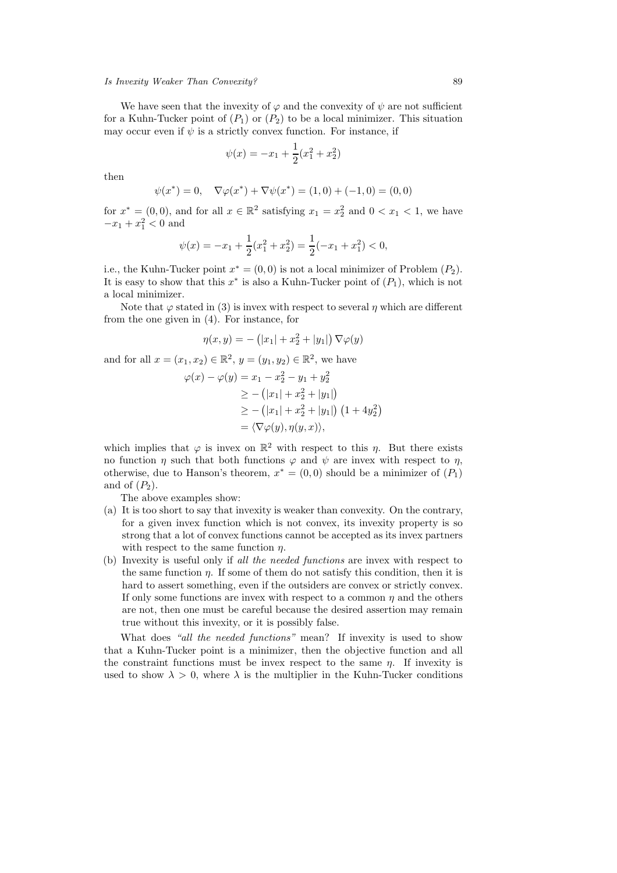We have seen that the invexity of  $\varphi$  and the convexity of  $\psi$  are not sufficient for a Kuhn-Tucker point of  $(P_1)$  or  $(P_2)$  to be a local minimizer. This situation may occur even if  $\psi$  is a strictly convex function. For instance, if

$$
\psi(x) = -x_1 + \frac{1}{2}(x_1^2 + x_2^2)
$$

then

$$
\psi(x^*) = 0
$$
,  $\nabla \varphi(x^*) + \nabla \psi(x^*) = (1,0) + (-1,0) = (0,0)$ 

for  $x^* = (0,0)$ , and for all  $x \in \mathbb{R}^2$  satisfying  $x_1 = x_2^2$  and  $0 < x_1 < 1$ , we have  $-x_1 + x_1^2 < 0$  and

$$
\psi(x) = -x_1 + \frac{1}{2}(x_1^2 + x_2^2) = \frac{1}{2}(-x_1 + x_1^2) < 0,
$$

i.e., the Kuhn-Tucker point  $x^* = (0,0)$  is not a local minimizer of Problem  $(P_2)$ . It is easy to show that this  $x^*$  is also a Kuhn-Tucker point of  $(P_1)$ , which is not a local minimizer.

Note that  $\varphi$  stated in (3) is invex with respect to several  $\eta$  which are different from the one given in (4). For instance, for

$$
\eta(x, y) = -(|x_1| + x_2^2 + |y_1|) \nabla \varphi(y)
$$

and for all  $x = (x_1, x_2) \in \mathbb{R}^2$ ,  $y = (y_1, y_2) \in \mathbb{R}^2$ , we have

$$
\varphi(x) - \varphi(y) = x_1 - x_2^2 - y_1 + y_2^2
$$
  
\n
$$
\geq -(|x_1| + x_2^2 + |y_1|)
$$
  
\n
$$
\geq -(|x_1| + x_2^2 + |y_1|) (1 + 4y_2^2)
$$
  
\n
$$
= \langle \nabla \varphi(y), \eta(y, x) \rangle,
$$

which implies that  $\varphi$  is invex on  $\mathbb{R}^2$  with respect to this  $\eta$ . But there exists no function  $\eta$  such that both functions  $\varphi$  and  $\psi$  are invex with respect to  $\eta$ , otherwise, due to Hanson's theorem,  $x^* = (0,0)$  should be a minimizer of  $(P_1)$ and of  $(P_2)$ .

The above examples show:

- (a) It is too short to say that invexity is weaker than convexity. On the contrary, for a given invex function which is not convex, its invexity property is so strong that a lot of convex functions cannot be accepted as its invex partners with respect to the same function  $\eta$ .
- (b) Invexity is useful only if *all the needed functions* are invex with respect to the same function  $\eta$ . If some of them do not satisfy this condition, then it is hard to assert something, even if the outsiders are convex or strictly convex. If only some functions are invex with respect to a common  $\eta$  and the others are not, then one must be careful because the desired assertion may remain true without this invexity, or it is possibly false.

What does *"all the needed functions"* mean? If invexity is used to show that a Kuhn-Tucker point is a minimizer, then the objective function and all the constraint functions must be invex respect to the same  $\eta$ . If invexity is used to show  $\lambda > 0$ , where  $\lambda$  is the multiplier in the Kuhn-Tucker conditions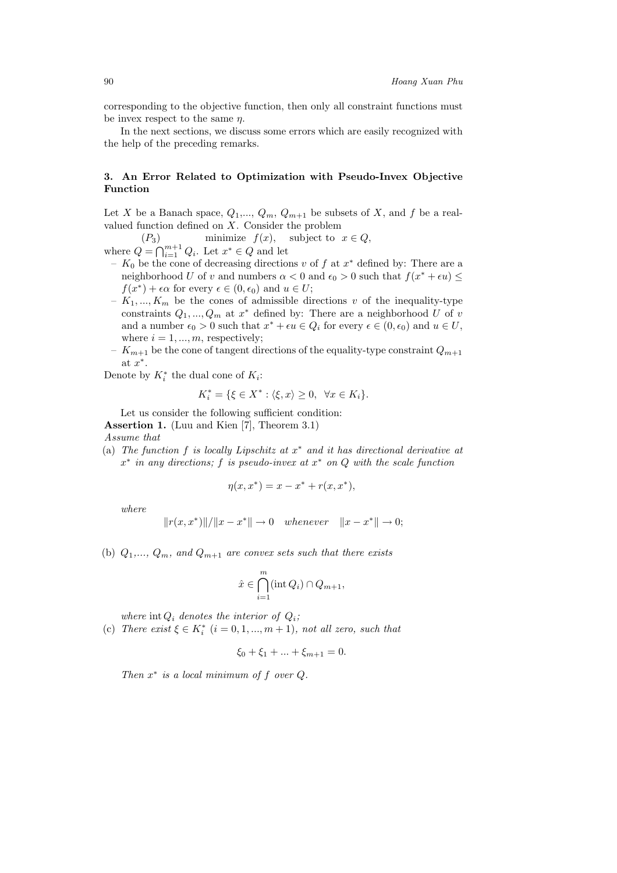corresponding to the objective function, then only all constraint functions must be invex respect to the same  $\eta$ .

In the next sections, we discuss some errors which are easily recognized with the help of the preceding remarks.

# **3. An Error Related to Optimization with Pseudo-Invex Objective Function**

Let X be a Banach space,  $Q_1, ..., Q_m, Q_{m+1}$  be subsets of X, and f be a realvalued function defined on X. Consider the problem<br>
(P<sub>3</sub>) minimize  $f(x)$ , subject to  $x \in Q$ ,

 $(P_3)$  minimize  $f(x)$ , subject to  $x \in Q$ ,

where  $Q = \bigcap_{i=1}^{m+1} Q_i$ . Let  $x^* \in Q$  and let<br>*i* K<sub>o</sub> be the cone of decreasing direction

- $K_0$  be the cone of decreasing directions v of f at  $x^*$  defined by: There are a neighborhood U of v and numbers  $\alpha < 0$  and  $\epsilon_0 > 0$  such that  $f(x^* + \epsilon u) \leq$  $f(x^*) + \epsilon \alpha$  for every  $\epsilon \in (0, \epsilon_0)$  and  $u \in U$ ;
- $-K_1, ..., K_m$  be the cones of admissible directions v of the inequality-type constraints  $Q_1, ..., Q_m$  at  $x^*$  defined by: There are a neighborhood U of v and a number  $\epsilon_0 > 0$  such that  $x^* + \epsilon u \in Q_i$  for every  $\epsilon \in (0, \epsilon_0)$  and  $u \in U$ , where  $i = 1, ..., m$ , respectively;
- $-K_{m+1}$  be the cone of tangent directions of the equality-type constraint  $Q_{m+1}$ at  $x^*$ .

Denote by  $K_i^*$  the dual cone of  $K_i$ :

$$
K_i^* = \{ \xi \in X^* : \langle \xi, x \rangle \ge 0, \ \forall x \in K_i \}.
$$

Let us consider the following sufficient condition:

**Assertion 1.** (Luu and Kien [7], Theorem 3.1)

*Assume that*

(a) *The function* f *is locally Lipschitz at* x<sup>∗</sup> *and it has directional derivative at* <sup>x</sup><sup>∗</sup> *in any directions;* f *is pseudo-invex at* x<sup>∗</sup> *on* Q *with the scale function*

$$
\eta(x, x^*) = x - x^* + r(x, x^*),
$$

*where*

$$
||r(x, x^*)||/||x - x^*|| \to 0
$$
 whenever  $||x - x^*|| \to 0;$ 

(b)  $Q_1, \ldots, Q_m$ , and  $Q_{m+1}$  are convex sets such that there exists

$$
\hat{x} \in \bigcap_{i=1}^{m} (\text{int } Q_i) \cap Q_{m+1},
$$

*where*  $int Q_i$  *denotes the interior of*  $Q_i$ ;

(c) *There exist*  $\xi \in K_i^*$   $(i = 0, 1, ..., m + 1)$ *, not all zero, such that* 

$$
\xi_0 + \xi_1 + \dots + \xi_{m+1} = 0.
$$

*Then* x<sup>∗</sup> *is a local minimum of* <sup>f</sup> *over* <sup>Q</sup>*.*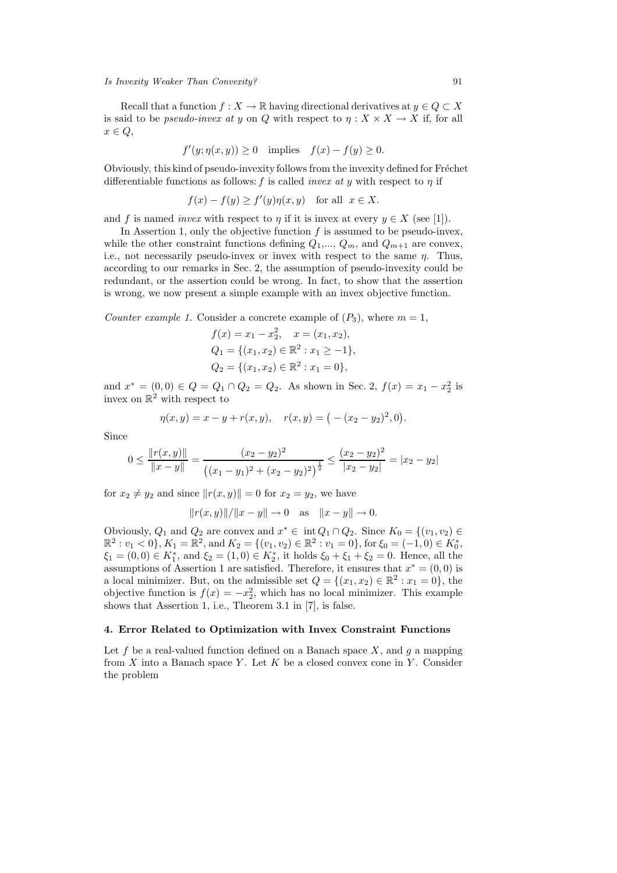Recall that a function  $f : X \to \mathbb{R}$  having directional derivatives at  $y \in Q \subset X$ is said to be *pseudo-invex at y* on Q with respect to  $\eta: X \times X \to X$  if, for all  $x \in Q$ ,

$$
f'(y; \eta(x, y)) \ge 0 \quad \text{implies} \quad f(x) - f(y) \ge 0.
$$

Obviously, this kind of pseudo-invexity follows from the invexity defined for Fréchet differentiable functions as follows: f is called *invex at* y with respect to η if

$$
f(x) - f(y) \ge f'(y)\eta(x, y) \quad \text{for all} \ \ x \in X.
$$

and f is named *invex* with respect to  $\eta$  if it is invex at every  $y \in X$  (see [1]).

In Assertion 1, only the objective function  $f$  is assumed to be pseudo-invex, while the other constraint functions defining  $Q_1, ..., Q_m$ , and  $Q_{m+1}$  are convex, i.e., not necessarily pseudo-invex or invex with respect to the same  $\eta$ . Thus, according to our remarks in Sec. 2, the assumption of pseudo-invexity could be redundant, or the assertion could be wrong. In fact, to show that the assertion is wrong, we now present a simple example with an invex objective function.

*Counter example 1.* Consider a concrete example of  $(P_3)$ , where  $m = 1$ ,

$$
f(x) = x_1 - x_2^2, \quad x = (x_1, x_2),
$$
  
\n
$$
Q_1 = \{(x_1, x_2) \in \mathbb{R}^2 : x_1 \ge -1\},
$$
  
\n
$$
Q_2 = \{(x_1, x_2) \in \mathbb{R}^2 : x_1 = 0\},
$$

and  $x^* = (0, 0) \in Q = Q_1 \cap Q_2 = Q_2$ . As shown in Sec. 2,  $f(x) = x_1 - x_2^2$  is invex on  $\mathbb{R}^2$  with respect to invex on  $\mathbb{R}^2$  with respect to

$$
\eta(x,y) = x - y + r(x,y), \quad r(x,y) = (-(x_2 - y_2)^2, 0).
$$

Since

$$
0 \le \frac{\|r(x,y)\|}{\|x-y\|} = \frac{(x_2 - y_2)^2}{\left((x_1 - y_1)^2 + (x_2 - y_2)^2\right)^{\frac{1}{2}}} \le \frac{(x_2 - y_2)^2}{|x_2 - y_2|} = |x_2 - y_2|
$$

for  $x_2 \neq y_2$  and since  $||r(x, y)|| = 0$  for  $x_2 = y_2$ , we have

$$
||r(x,y)||/||x-y|| \to 0
$$
 as  $||x-y|| \to 0$ .

Obviously,  $Q_1$  and  $Q_2$  are convex and  $x^* \in \text{int } Q_1 \cap Q_2$ . Since  $K_0 = \{(v_1, v_2) \in \mathbb{R}^2 : v_1 \geq 0 \}$   $K_1 = \mathbb{R}^2$  and  $K_2 = \{(v_1, v_2) \in \mathbb{R}^2 : v_1 = 0 \}$  for  $\xi_2 = (-1, 0) \in K^*$  $\mathbb{R}^2 : v_1 < 0$ ,  $K_1 = \mathbb{R}^2$ , and  $K_2 = \{(v_1, v_2) \in \mathbb{R}^2 : v_1 = 0\}$ , for  $\xi_0 = (-1, 0) \in K_0^*$ ,<br> $\xi_1 = (0, 0) \in K^*$  and  $\xi_2 = (1, 0) \in K^*$  it holds  $\xi_2 + \xi_1 + \xi_2 = 0$ . Hence all the  $\xi_1 = (0,0) \in K_1^*$ , and  $\xi_2 = (1,0) \in K_2^*$ , it holds  $\xi_0 + \xi_1 + \xi_2 = 0$ . Hence, all the assumptions of Assertion 1 are satisfied. Therefore, it ensures that  $x^* = (0,0)$  is assumptions of Assertion 1 are satisfied. Therefore, it ensures that  $x^* = (0,0)$  is a local minimizer. But, on the admissible set  $Q = \{(x_1, x_2) \in \mathbb{R}^2 : x_1 = 0\}$ , the objective function is  $f(x) = -x_2^2$ , which has no local minimizer. This example shows that Assertion 1 i.e. Theorem 3.1 in [7] is false shows that Assertion 1, i.e., Theorem 3.1 in [7], is false.

### **4. Error Related to Optimization with Invex Constraint Functions**

Let f be a real-valued function defined on a Banach space  $X$ , and g a mapping from  $X$  into a Banach space  $Y$ . Let  $K$  be a closed convex cone in  $Y$ . Consider the problem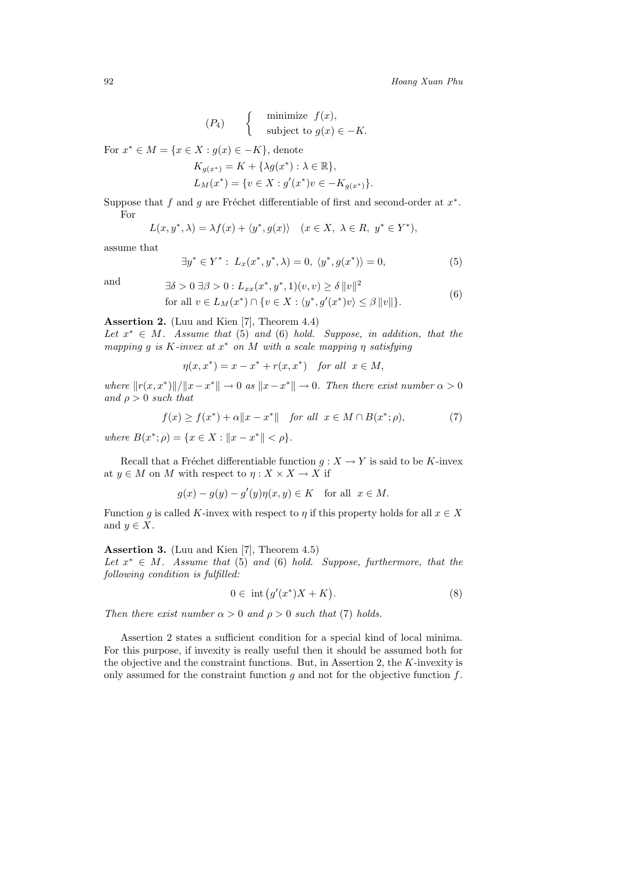$$
(P_4) \qquad \begin{cases} \text{minimize } f(x), \\ \text{subject to } g(x) \in -K. \end{cases}
$$

For  $x^* \in M = \{x \in X : g(x) \in -K\}$ , denote

$$
K_{g(x^*)} = K + \{\lambda g(x^*) : \lambda \in \mathbb{R}\},
$$
  
\n
$$
L_M(x^*) = \{v \in X : g'(x^*)v \in -K_{g(x^*)}\}.
$$

Suppose that f and g are Fréchet differentiable of first and second-order at  $x^*$ . For

$$
L(x, y^*, \lambda) = \lambda f(x) + \langle y^*, g(x) \rangle \quad (x \in X, \ \lambda \in R, \ y^* \in Y^*),
$$

assume that

$$
\exists y^* \in Y^* : L_x(x^*, y^*, \lambda) = 0, \ \langle y^*, g(x^*) \rangle = 0,
$$
\n(5)

and 
$$
\exists \delta > 0 \ \exists \beta > 0 : L_{xx}(x^*, y^*, 1)(v, v) \ge \delta ||v||^2
$$
  
for all  $v \in L_M(x^*) \cap \{v \in X : \langle y^*, g'(x^*)v \rangle \le \beta ||v||\}.$  (6)

**Assertion 2.** (Luu and Kien [7], Theorem 4.4)

*Let* <sup>x</sup><sup>∗</sup> <sup>∈</sup> M*. Assume that* (5) *and* (6) *hold. Suppose, in addition, that the mapping* <sup>g</sup> *is* <sup>K</sup>*-invex at* <sup>x</sup><sup>∗</sup> *on* M *with a scale mapping* η *satisfying*

$$
\eta(x, x^*) = x - x^* + r(x, x^*) \quad \text{for all} \ \ x \in M,
$$

*where*  $||r(x, x^*)||/||x-x^*|| \to 0$  *as*  $||x-x^*|| \to 0$ *. Then there exist number*  $\alpha > 0$ *and*  $\rho > 0$  *such that* 

$$
f(x) \ge f(x^*) + \alpha \|x - x^*\| \quad \text{for all} \ \ x \in M \cap B(x^*; \rho), \tag{7}
$$

*where*  $B(x^*; \rho) = \{x \in X : ||x - x^*|| < \rho\}.$ 

Recall that a Fréchet differentiable function  $g : X \to Y$  is said to be K-invex at  $y \in M$  on M with respect to  $\eta: X \times X \to X$  if

$$
g(x) - g(y) - g'(y)\eta(x, y) \in K \quad \text{for all} \ \ x \in M.
$$

Function g is called K-invex with respect to  $\eta$  if this property holds for all  $x \in X$ and  $y \in X$ .

**Assertion 3.** (Luu and Kien [7], Theorem 4.5)

*Let* x<sup>∗</sup> <sup>∈</sup> <sup>M</sup>*. Assume that* (5) *and* (6) *hold. Suppose, furthermore, that the following condition is fulfilled:*

$$
0 \in \text{ int } \left( g'(x^*)X + K \right). \tag{8}
$$

*Then there exist number*  $\alpha > 0$  *and*  $\rho > 0$  *such that* (7) *holds.* 

Assertion 2 states a sufficient condition for a special kind of local minima. For this purpose, if invexity is really useful then it should be assumed both for the objective and the constraint functions. But, in Assertion 2, the  $K$ -invexity is only assumed for the constraint function  $g$  and not for the objective function  $f$ .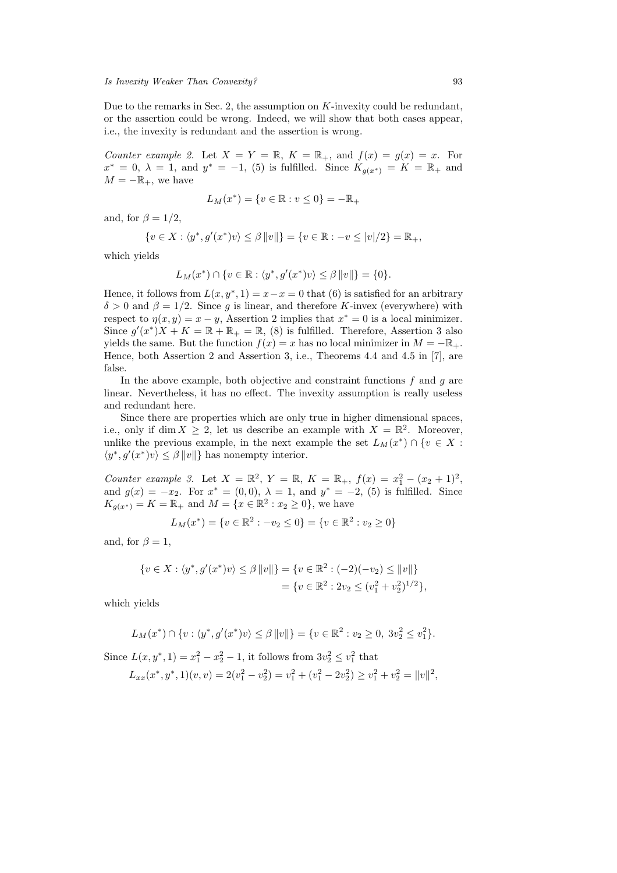Due to the remarks in Sec. 2, the assumption on  $K$ -invexity could be redundant, or the assertion could be wrong. Indeed, we will show that both cases appear, i.e., the invexity is redundant and the assertion is wrong.

*Counter example 2.* Let  $X = Y = \mathbb{R}$ ,  $K = \mathbb{R}_+$ , and  $f(x) = g(x) = x$ . For  $x^* = 0$ ,  $\lambda = 1$ , and  $y^* = -1$ , (5) is fulfilled. Since  $K_{g(x^*)} = K = \mathbb{R}_+$  and  $M = -\mathbb{R}_+$ , we have

$$
L_M(x^*) = \{v \in \mathbb{R} : v \le 0\} = -\mathbb{R}_+
$$

and, for  $\beta = 1/2$ ,

$$
\{v \in X : \langle y^*, g'(x^*)v \rangle \le \beta ||v||\} = \{v \in \mathbb{R} : -v \le |v|/2\} = \mathbb{R}_+,
$$

which yields

$$
L_M(x^*) \cap \{v \in \mathbb{R} : \langle y^*, g'(x^*)v \rangle \leq \beta ||v||\} = \{0\}.
$$

Hence, it follows from  $L(x, y^*, 1) = x - x = 0$  that (6) is satisfied for an arbitrary  $\delta > 0$  and  $\beta = 1/2$ . Since g is linear, and therefore K-invex (everywhere) with respect to  $\eta(x, y) = x - y$ , Assertion 2 implies that  $x^* = 0$  is a local minimizer. Since  $g'(x^*)X + K = \mathbb{R} + \mathbb{R}_+ = \mathbb{R}$ , (8) is fulfilled. Therefore, Assertion 3 also<br>vields the same But the function  $f(x) = x$  has no local minimizer in  $M = -\mathbb{R}$ . yields the same. But the function  $f(x) = x$  has no local minimizer in  $M = -\mathbb{R}_+$ . Hence, both Assertion 2 and Assertion 3, i.e., Theorems 4.4 and 4.5 in [7], are false.

In the above example, both objective and constraint functions  $f$  and  $g$  are linear. Nevertheless, it has no effect. The invexity assumption is really useless and redundant here.

Since there are properties which are only true in higher dimensional spaces, i.e., only if dim  $X \geq 2$ , let us describe an example with  $X = \mathbb{R}^2$ . Moreover, unlike the previous example, in the next example the set  $L_M(x^*) \cap \{v \in X :$  $\langle y^*, g'(x^*)v \rangle \leq \beta ||v||$ } has nonempty interior.

*Counter example 3.* Let  $X = \mathbb{R}^2$ ,  $Y = \mathbb{R}$ ,  $K = \mathbb{R}_+$ ,  $f(x) = x_1^2 - (x_2 + 1)^2$ , and  $g(x) = -x_2$ . For  $x^* = (0, 0)$ ,  $\lambda = 1$ , and  $y^* = -2$ , (5) is fulfilled. Since and  $g(x) = -x_2$ . For  $x^* = (0,0)$ ,  $\lambda = 1$ , and  $y^* = -2$ , (5) is fulfilled. Since  $K_{a(x^*)} = K = \mathbb{R}_+$  and  $M = \{x \in \mathbb{R}^2 : x_2 \ge 0\}$ , we have

$$
L_M(x^*) = \{v \in \mathbb{R}^2 : -v_2 \le 0\} = \{v \in \mathbb{R}^2 : v_2 \ge 0\}
$$

and, for  $\beta = 1$ ,

$$
\{v \in X : \langle y^*, g'(x^*)v \rangle \le \beta ||v||\} = \{v \in \mathbb{R}^2 : (-2)(-v_2) \le ||v||\}
$$
  
= 
$$
\{v \in \mathbb{R}^2 : 2v_2 \le (v_1^2 + v_2^2)^{1/2}\},
$$

which yields

$$
L_M(x^*) \cap \{v : \langle y^*, g'(x^*)v \rangle \le \beta ||v||\} = \{v \in \mathbb{R}^2 : v_2 \ge 0, 3v_2^2 \le v_1^2\}.
$$

Since  $L(x, y^*, 1) = x_1^2 - x_2^2 - 1$ , it follows from  $3v_2^2 \le v_1^2$  that

$$
L_{xx}(x^*, y^*, 1)(v, v) = 2(v_1^2 - v_2^2) = v_1^2 + (v_1^2 - 2v_2^2) \ge v_1^2 + v_2^2 = ||v||^2,
$$